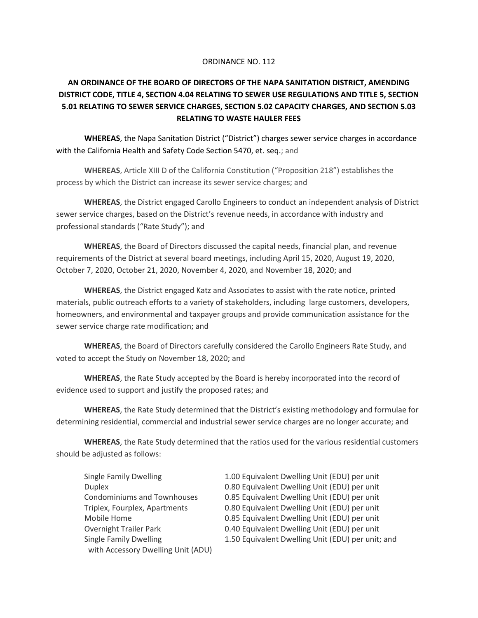#### ORDINANCE NO. 112

# **AN ORDINANCE OF THE BOARD OF DIRECTORS OF THE NAPA SANITATION DISTRICT, AMENDING DISTRICT CODE, TITLE 4, SECTION 4.04 RELATING TO SEWER USE REGULATIONS AND TITLE 5, SECTION 5.01 RELATING TO SEWER SERVICE CHARGES, SECTION 5.02 CAPACITY CHARGES, AND SECTION 5.03 RELATING TO WASTE HAULER FEES**

**WHEREAS**, the Napa Sanitation District ("District") charges sewer service charges in accordance with the California Health and Safety Code Section 5470, et. seq.; and

**WHEREAS**, Article XIII D of the California Constitution ("Proposition 218") establishes the process by which the District can increase its sewer service charges; and

**WHEREAS**, the District engaged Carollo Engineers to conduct an independent analysis of District sewer service charges, based on the District's revenue needs, in accordance with industry and professional standards ("Rate Study"); and

**WHEREAS**, the Board of Directors discussed the capital needs, financial plan, and revenue requirements of the District at several board meetings, including April 15, 2020, August 19, 2020, October 7, 2020, October 21, 2020, November 4, 2020, and November 18, 2020; and

**WHEREAS**, the District engaged Katz and Associates to assist with the rate notice, printed materials, public outreach efforts to a variety of stakeholders, including large customers, developers, homeowners, and environmental and taxpayer groups and provide communication assistance for the sewer service charge rate modification; and

**WHEREAS**, the Board of Directors carefully considered the Carollo Engineers Rate Study, and voted to accept the Study on November 18, 2020; and

**WHEREAS**, the Rate Study accepted by the Board is hereby incorporated into the record of evidence used to support and justify the proposed rates; and

**WHEREAS**, the Rate Study determined that the District's existing methodology and formulae for determining residential, commercial and industrial sewer service charges are no longer accurate; and

**WHEREAS**, the Rate Study determined that the ratios used for the various residential customers should be adjusted as follows:

| <b>Single Family Dwelling</b>      | 1.00 Equivalent Dwelling Unit (EDU) per unit      |
|------------------------------------|---------------------------------------------------|
| <b>Duplex</b>                      | 0.80 Equivalent Dwelling Unit (EDU) per unit      |
| <b>Condominiums and Townhouses</b> | 0.85 Equivalent Dwelling Unit (EDU) per unit      |
| Triplex, Fourplex, Apartments      | 0.80 Equivalent Dwelling Unit (EDU) per unit      |
| Mobile Home                        | 0.85 Equivalent Dwelling Unit (EDU) per unit      |
| <b>Overnight Trailer Park</b>      | 0.40 Equivalent Dwelling Unit (EDU) per unit      |
| <b>Single Family Dwelling</b>      | 1.50 Equivalent Dwelling Unit (EDU) per unit; and |
| with Accessory Dwelling Unit (ADU) |                                                   |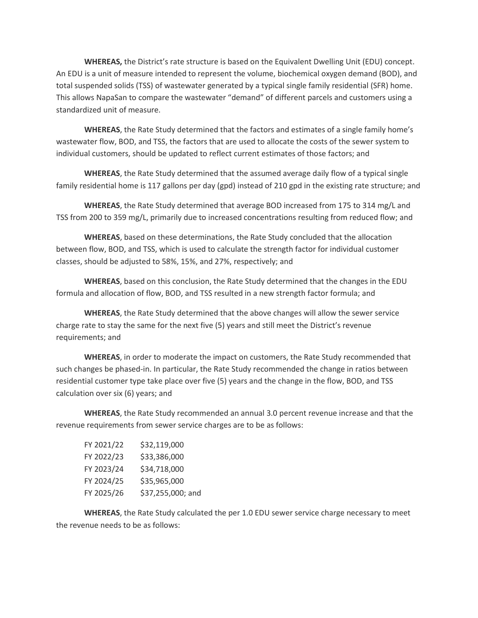**WHEREAS,** the District's rate structure is based on the Equivalent Dwelling Unit (EDU) concept. An EDU is a unit of measure intended to represent the volume, biochemical oxygen demand (BOD), and total suspended solids (TSS) of wastewater generated by a typical single family residential (SFR) home. This allows NapaSan to compare the wastewater "demand" of different parcels and customers using a standardized unit of measure.

**WHEREAS**, the Rate Study determined that the factors and estimates of a single family home's wastewater flow, BOD, and TSS, the factors that are used to allocate the costs of the sewer system to individual customers, should be updated to reflect current estimates of those factors; and

**WHEREAS**, the Rate Study determined that the assumed average daily flow of a typical single family residential home is 117 gallons per day (gpd) instead of 210 gpd in the existing rate structure; and

**WHEREAS**, the Rate Study determined that average BOD increased from 175 to 314 mg/L and TSS from 200 to 359 mg/L, primarily due to increased concentrations resulting from reduced flow; and

**WHEREAS**, based on these determinations, the Rate Study concluded that the allocation between flow, BOD, and TSS, which is used to calculate the strength factor for individual customer classes, should be adjusted to 58%, 15%, and 27%, respectively; and

**WHEREAS**, based on this conclusion, the Rate Study determined that the changes in the EDU formula and allocation of flow, BOD, and TSS resulted in a new strength factor formula; and

**WHEREAS**, the Rate Study determined that the above changes will allow the sewer service charge rate to stay the same for the next five (5) years and still meet the District's revenue requirements; and

**WHEREAS**, in order to moderate the impact on customers, the Rate Study recommended that such changes be phased-in. In particular, the Rate Study recommended the change in ratios between residential customer type take place over five (5) years and the change in the flow, BOD, and TSS calculation over six (6) years; and

**WHEREAS**, the Rate Study recommended an annual 3.0 percent revenue increase and that the revenue requirements from sewer service charges are to be as follows:

| FY 2021/22 | \$32,119,000      |
|------------|-------------------|
| FY 2022/23 | \$33,386,000      |
| FY 2023/24 | \$34,718,000      |
| FY 2024/25 | \$35,965,000      |
| FY 2025/26 | \$37,255,000; and |

**WHEREAS**, the Rate Study calculated the per 1.0 EDU sewer service charge necessary to meet the revenue needs to be as follows: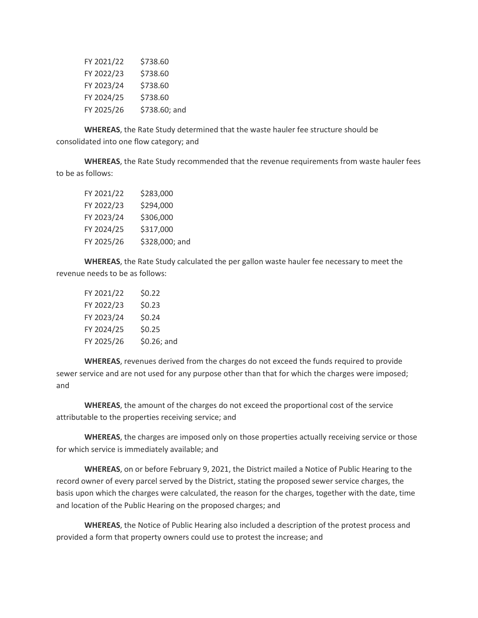| FY 2021/22 | \$738.60      |
|------------|---------------|
| FY 2022/23 | \$738.60      |
| FY 2023/24 | \$738.60      |
| FY 2024/25 | \$738.60      |
| FY 2025/26 | \$738.60; and |

**WHEREAS**, the Rate Study determined that the waste hauler fee structure should be consolidated into one flow category; and

**WHEREAS**, the Rate Study recommended that the revenue requirements from waste hauler fees to be as follows:

| FY 2021/22 | \$283,000      |
|------------|----------------|
| FY 2022/23 | \$294,000      |
| FY 2023/24 | \$306,000      |
| FY 2024/25 | \$317,000      |
| FY 2025/26 | \$328,000; and |

**WHEREAS**, the Rate Study calculated the per gallon waste hauler fee necessary to meet the revenue needs to be as follows:

| FY 2021/22 | \$0.22      |
|------------|-------------|
| FY 2022/23 | \$0.23      |
| FY 2023/24 | \$0.24      |
| FY 2024/25 | \$0.25      |
| FY 2025/26 | \$0.26; and |

**WHEREAS**, revenues derived from the charges do not exceed the funds required to provide sewer service and are not used for any purpose other than that for which the charges were imposed; and

**WHEREAS**, the amount of the charges do not exceed the proportional cost of the service attributable to the properties receiving service; and

**WHEREAS**, the charges are imposed only on those properties actually receiving service or those for which service is immediately available; and

**WHEREAS**, on or before February 9, 2021, the District mailed a Notice of Public Hearing to the record owner of every parcel served by the District, stating the proposed sewer service charges, the basis upon which the charges were calculated, the reason for the charges, together with the date, time and location of the Public Hearing on the proposed charges; and

**WHEREAS**, the Notice of Public Hearing also included a description of the protest process and provided a form that property owners could use to protest the increase; and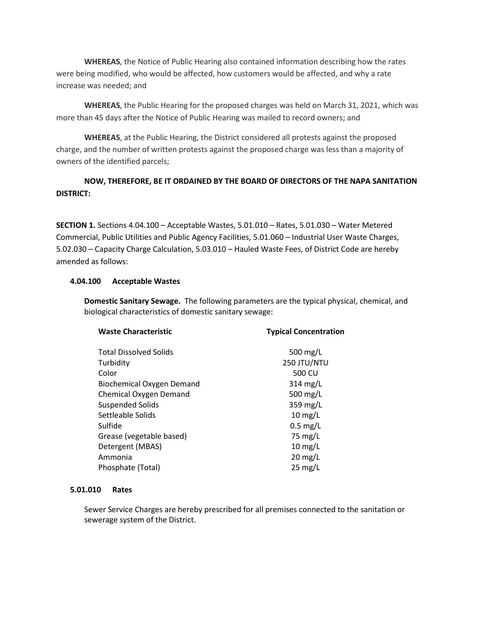**WHEREAS**, the Notice of Public Hearing also contained information describing how the rates were being modified, who would be affected, how customers would be affected, and why a rate increase was needed; and

**WHEREAS**, the Public Hearing for the proposed charges was held on March 31, 2021, which was more than 45 days after the Notice of Public Hearing was mailed to record owners; and

**WHEREAS**, at the Public Hearing, the District considered all protests against the proposed charge, and the number of written protests against the proposed charge was less than a majority of owners of the identified parcels;

## **NOW, THEREFORE, BE IT ORDAINED BY THE BOARD OF DIRECTORS OF THE NAPA SANITATION DISTRICT:**

**SECTION 1.** Sections 4.04.100 – Acceptable Wastes, 5.01.010 – Rates, 5.01.030 – Water Metered Commercial, Public Utilities and Public Agency Facilities, 5.01.060 – Industrial User Waste Charges, 5.02.030 – Capacity Charge Calculation, 5.03.010 – Hauled Waste Fees, of District Code are hereby amended as follows:

### **4.04.100 Acceptable Wastes**

**Domestic Sanitary Sewage.** The following parameters are the typical physical, chemical, and biological characteristics of domestic sanitary sewage:

| <b>Waste Characteristic</b>      | <b>Typical Concentration</b> |  |  |  |
|----------------------------------|------------------------------|--|--|--|
| <b>Total Dissolved Solids</b>    | 500 $mg/L$                   |  |  |  |
| Turbidity                        | 250 JTU/NTU                  |  |  |  |
| Color                            | 500 CU                       |  |  |  |
| <b>Biochemical Oxygen Demand</b> | $314$ mg/L                   |  |  |  |
| Chemical Oxygen Demand           | 500 mg/L                     |  |  |  |
| <b>Suspended Solids</b>          | 359 mg/L                     |  |  |  |
| Settleable Solids                | $10 \text{ mg/L}$            |  |  |  |
| Sulfide                          | $0.5$ mg/L                   |  |  |  |
| Grease (vegetable based)         | 75 mg/L                      |  |  |  |
| Detergent (MBAS)                 | $10 \text{ mg/L}$            |  |  |  |
| Ammonia                          | $20$ mg/L                    |  |  |  |
| Phosphate (Total)                | $25 \text{ mg/L}$            |  |  |  |

### **5.01.010 Rates**

Sewer Service Charges are hereby prescribed for all premises connected to the sanitation or sewerage system of the District.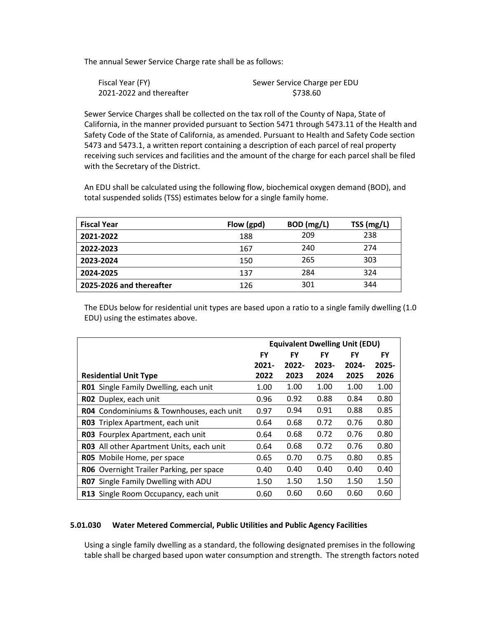The annual Sewer Service Charge rate shall be as follows:

| Fiscal Year (FY)         | Sewer Service Charge per EDU |
|--------------------------|------------------------------|
| 2021-2022 and thereafter | \$738.60                     |

Sewer Service Charges shall be collected on the tax roll of the County of Napa, State of California, in the manner provided pursuant to Section 5471 through 5473.11 of the Health and Safety Code of the State of California, as amended. Pursuant to Health and Safety Code section 5473 and 5473.1, a written report containing a description of each parcel of real property receiving such services and facilities and the amount of the charge for each parcel shall be filed with the Secretary of the District.

An EDU shall be calculated using the following flow, biochemical oxygen demand (BOD), and total suspended solids (TSS) estimates below for a single family home.

| <b>Fiscal Year</b>       | Flow (gpd) | BOD (mg/L) | TSS (mg/L) |
|--------------------------|------------|------------|------------|
| 2021-2022                | 188        | 209        | 238        |
| 2022-2023                | 167        | 240        | 274        |
| 2023-2024                | 150        | 265        | 303        |
| 2024-2025                | 137        | 284        | 324        |
| 2025-2026 and thereafter | 126        | 301        | 344        |

The EDUs below for residential unit types are based upon a ratio to a single family dwelling (1.0 EDU) using the estimates above.

|                                                 | <b>Equivalent Dwelling Unit (EDU)</b> |          |          |       |           |
|-------------------------------------------------|---------------------------------------|----------|----------|-------|-----------|
|                                                 | FY                                    | FY       | FY       | FY    | <b>FY</b> |
|                                                 | $2021 -$                              | $2022 -$ | $2023 -$ | 2024- | $2025 -$  |
| <b>Residential Unit Type</b>                    | 2022                                  | 2023     | 2024     | 2025  | 2026      |
| R01 Single Family Dwelling, each unit           | 1.00                                  | 1.00     | 1.00     | 1.00  | 1.00      |
| RO2 Duplex, each unit                           | 0.96                                  | 0.92     | 0.88     | 0.84  | 0.80      |
| R04 Condominiums & Townhouses, each unit        | 0.97                                  | 0.94     | 0.91     | 0.88  | 0.85      |
| R03 Triplex Apartment, each unit                | 0.64                                  | 0.68     | 0.72     | 0.76  | 0.80      |
| <b>R03</b> Fourplex Apartment, each unit        | 0.64                                  | 0.68     | 0.72     | 0.76  | 0.80      |
| R03 All other Apartment Units, each unit        | 0.64                                  | 0.68     | 0.72     | 0.76  | 0.80      |
| R05 Mobile Home, per space                      | 0.65                                  | 0.70     | 0.75     | 0.80  | 0.85      |
| <b>RO6</b> Overnight Trailer Parking, per space | 0.40                                  | 0.40     | 0.40     | 0.40  | 0.40      |
| R07 Single Family Dwelling with ADU             | 1.50                                  | 1.50     | 1.50     | 1.50  | 1.50      |
| R13 Single Room Occupancy, each unit            | 0.60                                  | 0.60     | 0.60     | 0.60  | 0.60      |

#### **5.01.030 Water Metered Commercial, Public Utilities and Public Agency Facilities**

Using a single family dwelling as a standard, the following designated premises in the following table shall be charged based upon water consumption and strength. The strength factors noted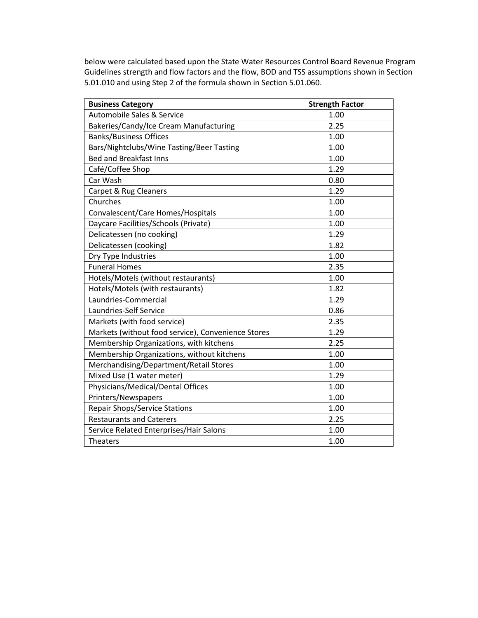below were calculated based upon the State Water Resources Control Board Revenue Program Guidelines strength and flow factors and the flow, BOD and TSS assumptions shown in Section 5.01.010 and using Step 2 of the formula shown in Section 5.01.060.

| <b>Business Category</b>                           | <b>Strength Factor</b> |
|----------------------------------------------------|------------------------|
| <b>Automobile Sales &amp; Service</b>              | 1.00                   |
| Bakeries/Candy/Ice Cream Manufacturing             | 2.25                   |
| <b>Banks/Business Offices</b>                      | 1.00                   |
| Bars/Nightclubs/Wine Tasting/Beer Tasting          | 1.00                   |
| <b>Bed and Breakfast Inns</b>                      | 1.00                   |
| Café/Coffee Shop                                   | 1.29                   |
| Car Wash                                           | 0.80                   |
| Carpet & Rug Cleaners                              | 1.29                   |
| Churches                                           | 1.00                   |
| Convalescent/Care Homes/Hospitals                  | 1.00                   |
| Daycare Facilities/Schools (Private)               | 1.00                   |
| Delicatessen (no cooking)                          | 1.29                   |
| Delicatessen (cooking)                             | 1.82                   |
| Dry Type Industries                                | 1.00                   |
| <b>Funeral Homes</b>                               | 2.35                   |
| Hotels/Motels (without restaurants)                | 1.00                   |
| Hotels/Motels (with restaurants)                   | 1.82                   |
| Laundries-Commercial                               | 1.29                   |
| Laundries-Self Service                             | 0.86                   |
| Markets (with food service)                        | 2.35                   |
| Markets (without food service), Convenience Stores | 1.29                   |
| Membership Organizations, with kitchens            | 2.25                   |
| Membership Organizations, without kitchens         | 1.00                   |
| Merchandising/Department/Retail Stores             | 1.00                   |
| Mixed Use (1 water meter)                          | 1.29                   |
| Physicians/Medical/Dental Offices                  | 1.00                   |
| Printers/Newspapers                                | 1.00                   |
| <b>Repair Shops/Service Stations</b>               | 1.00                   |
| <b>Restaurants and Caterers</b>                    | 2.25                   |
| Service Related Enterprises/Hair Salons            | 1.00                   |
| <b>Theaters</b>                                    | 1.00                   |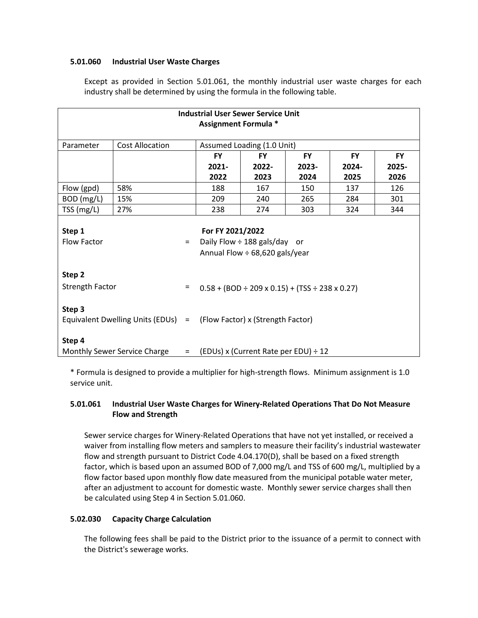#### **5.01.060 Industrial User Waste Charges**

Except as provided in Section 5.01.061, the monthly industrial user waste charges for each industry shall be determined by using the formula in the following table.

| <b>Industrial User Sewer Service Unit</b> |                                                                                                        |                                                                         |           |                                                  |                                      |       |       |  |
|-------------------------------------------|--------------------------------------------------------------------------------------------------------|-------------------------------------------------------------------------|-----------|--------------------------------------------------|--------------------------------------|-------|-------|--|
| <b>Assignment Formula *</b>               |                                                                                                        |                                                                         |           |                                                  |                                      |       |       |  |
| Parameter                                 | <b>Cost Allocation</b>                                                                                 | Assumed Loading (1.0 Unit)                                              |           |                                                  |                                      |       |       |  |
|                                           |                                                                                                        |                                                                         | <b>FY</b> | <b>FY</b><br><b>FY</b><br><b>FY</b><br><b>FY</b> |                                      |       |       |  |
|                                           |                                                                                                        |                                                                         | $2021 -$  | $2022 -$                                         | 2023-                                | 2024- | 2025- |  |
|                                           |                                                                                                        |                                                                         | 2022      | 2023                                             | 2024                                 | 2025  | 2026  |  |
| Flow (gpd)                                | 58%                                                                                                    |                                                                         | 188       | 167                                              | 150                                  | 137   | 126   |  |
| BOD (mg/L)                                | 15%                                                                                                    |                                                                         | 209       | 240                                              | 265                                  | 284   | 301   |  |
| TSS (mg/L)                                | 27%                                                                                                    |                                                                         | 238       | 274                                              | 303                                  | 324   | 344   |  |
| Step 1<br><b>Flow Factor</b>              | For FY 2021/2022<br>Daily Flow $\div$ 188 gals/day<br>or<br>$=$<br>Annual Flow $\div$ 68,620 gals/year |                                                                         |           |                                                  |                                      |       |       |  |
| Step 2                                    |                                                                                                        |                                                                         |           |                                                  |                                      |       |       |  |
| <b>Strength Factor</b>                    |                                                                                                        | $=$<br>$0.58 + (BOD \div 209 \times 0.15) + (TSS \div 238 \times 0.27)$ |           |                                                  |                                      |       |       |  |
| Step 3                                    |                                                                                                        |                                                                         |           |                                                  |                                      |       |       |  |
|                                           |                                                                                                        | Equivalent Dwelling Units (EDUs) = (Flow Factor) x (Strength Factor)    |           |                                                  |                                      |       |       |  |
| Step 4                                    |                                                                                                        |                                                                         |           |                                                  |                                      |       |       |  |
|                                           | Monthly Sewer Service Charge                                                                           | $=$ $-$                                                                 |           |                                                  | (EDUs) x (Current Rate per EDU) ÷ 12 |       |       |  |

\* Formula is designed to provide a multiplier for high-strength flows. Minimum assignment is 1.0 service unit.

### **5.01.061 Industrial User Waste Charges for Winery-Related Operations That Do Not Measure Flow and Strength**

Sewer service charges for Winery-Related Operations that have not yet installed, or received a waiver from installing flow meters and samplers to measure their facility's industrial wastewater flow and strength pursuant to District Code 4.04.170(D), shall be based on a fixed strength factor, which is based upon an assumed BOD of 7,000 mg/L and TSS of 600 mg/L, multiplied by a flow factor based upon monthly flow date measured from the municipal potable water meter, after an adjustment to account for domestic waste. Monthly sewer service charges shall then be calculated using Step 4 in Section 5.01.060.

### **5.02.030 Capacity Charge Calculation**

The following fees shall be paid to the District prior to the issuance of a permit to connect with the District's sewerage works.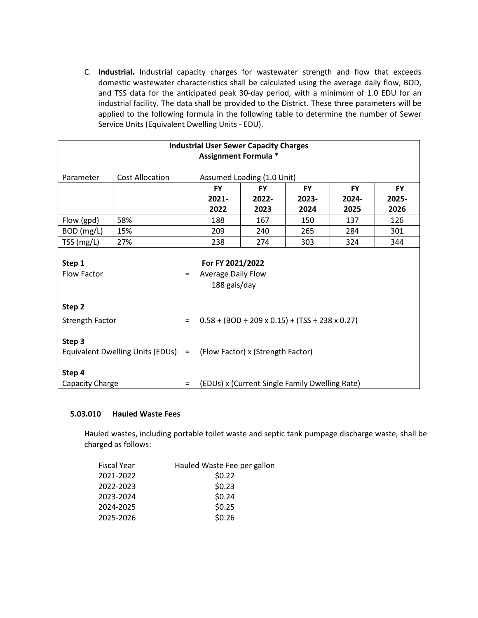C. **Industrial.** Industrial capacity charges for wastewater strength and flow that exceeds domestic wastewater characteristics shall be calculated using the average daily flow, BOD, and TSS data for the anticipated peak 30-day period, with a minimum of 1.0 EDU for an industrial facility. The data shall be provided to the District. These three parameters will be applied to the following formula in the following table to determine the number of Sewer Service Units (Equivalent Dwelling Units - EDU).

| <b>Industrial User Sewer Capacity Charges</b><br><b>Assignment Formula *</b>                         |                        |                                                                         |                                                               |          |                                                |       |       |  |
|------------------------------------------------------------------------------------------------------|------------------------|-------------------------------------------------------------------------|---------------------------------------------------------------|----------|------------------------------------------------|-------|-------|--|
| Parameter                                                                                            | <b>Cost Allocation</b> |                                                                         | Assumed Loading (1.0 Unit)                                    |          |                                                |       |       |  |
|                                                                                                      |                        |                                                                         | <b>FY</b><br><b>FY</b><br><b>FY</b><br><b>FY</b><br><b>FY</b> |          |                                                |       |       |  |
|                                                                                                      |                        |                                                                         | 2021-                                                         | $2022 -$ | 2023-                                          | 2024- | 2025- |  |
|                                                                                                      |                        |                                                                         | 2022                                                          | 2023     | 2024                                           | 2025  | 2026  |  |
| Flow (gpd)                                                                                           | 58%                    |                                                                         | 188                                                           | 167      | 150                                            | 137   | 126   |  |
| BOD (mg/L)                                                                                           | 15%                    |                                                                         | 209                                                           | 240      | 265                                            | 284   | 301   |  |
| TSS(mg/L)                                                                                            | 27%                    |                                                                         | 238                                                           | 274      | 303                                            | 324   | 344   |  |
| For FY 2021/2022<br>Step 1<br><b>Flow Factor</b><br><b>Average Daily Flow</b><br>$=$<br>188 gals/day |                        |                                                                         |                                                               |          |                                                |       |       |  |
| Step 2                                                                                               |                        |                                                                         |                                                               |          |                                                |       |       |  |
| <b>Strength Factor</b>                                                                               |                        | $0.58 + (BOD \div 209 \times 0.15) + (TSS \div 238 \times 0.27)$<br>$=$ |                                                               |          |                                                |       |       |  |
| Step 3                                                                                               |                        | Equivalent Dwelling Units (EDUs) = (Flow Factor) x (Strength Factor)    |                                                               |          |                                                |       |       |  |
| Step 4                                                                                               |                        |                                                                         |                                                               |          |                                                |       |       |  |
| Capacity Charge                                                                                      |                        | $\equiv$                                                                |                                                               |          | (EDUs) x (Current Single Family Dwelling Rate) |       |       |  |

#### **5.03.010 Hauled Waste Fees**

Hauled wastes, including portable toilet waste and septic tank pumpage discharge waste, shall be charged as follows:

| Hauled Waste Fee per gallon |
|-----------------------------|
|                             |
|                             |
|                             |
|                             |
|                             |
|                             |